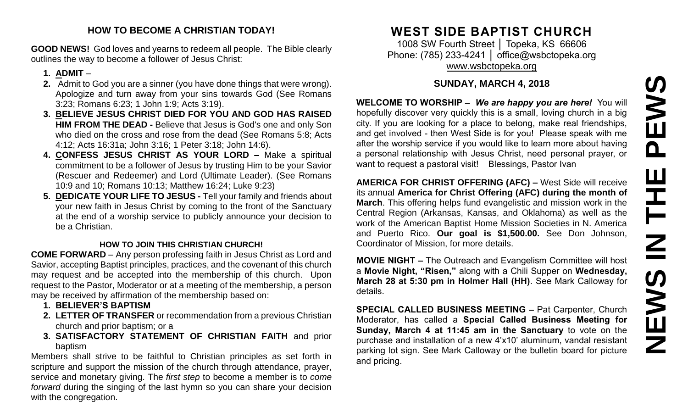#### **HOW TO BECOME A CHRISTIAN TODAY!**

**GOOD NEWS!** God loves and yearns to redeem all people. The Bible clearly outlines the way to become a follower of Jesus Christ:

#### **1. ADMIT** –

- **2.** Admit to God you are a sinner (you have done things that were wrong). Apologize and turn away from your sins towards God (See Romans 3:23; Romans 6:23; 1 John 1:9; Acts 3:19).
- **3. BELIEVE JESUS CHRIST DIED FOR YOU AND GOD HAS RAISED HIM FROM THE DEAD -** Believe that Jesus is God's one and only Son who died on the cross and rose from the dead (See Romans 5:8; Acts 4:12; Acts 16:31a; John 3:16; 1 Peter 3:18; John 14:6).
- **4. CONFESS JESUS CHRIST AS YOUR LORD –** Make a spiritual commitment to be a follower of Jesus by trusting Him to be your Savior (Rescuer and Redeemer) and Lord (Ultimate Leader). (See Romans 10:9 and 10; Romans 10:13; Matthew 16:24; Luke 9:23)
- **5. DEDICATE YOUR LIFE TO JESUS -** Tell your family and friends about your new faith in Jesus Christ by coming to the front of the Sanctuary at the end of a worship service to publicly announce your decision to be a Christian.

#### **HOW TO JOIN THIS CHRISTIAN CHURCH!**

**COME FORWARD** – Any person professing faith in Jesus Christ as Lord and Savior, accepting Baptist principles, practices, and the covenant of this church may request and be accepted into the membership of this church. Upon request to the Pastor, Moderator or at a meeting of the membership, a person may be received by affirmation of the membership based on:

- **1. BELIEVER'S BAPTISM**
- **2. LETTER OF TRANSFER** or recommendation from a previous Christian church and prior baptism; or a
- **3. SATISFACTORY STATEMENT OF CHRISTIAN FAITH** and prior baptism

Members shall strive to be faithful to Christian principles as set forth in scripture and support the mission of the church through attendance, prayer, service and monetary giving. The *first step* to become a member is to *come forward* during the singing of the last hymn so you can share your decision with the congregation.

# **WEST SIDE BAPTIST CHURCH**

1008 SW Fourth Street │ Topeka, KS 66606 Phone: (785) 233-4241 │ [office@wsbctopeka.org](mailto:office@wsbctopeka.org) [www.wsbctopeka.org](http://www.wsbctopeka.org/)

## **SUNDAY, MARCH 4, 2018**

**WELCOME TO WORSHIP –** *We are happy you are here!* You will hopefully discover very quickly this is a small, loving church in a big city. If you are looking for a place to belong, make real friendships, and get involved - then West Side is for you! Please speak with me after the worship service if you would like to learn more about having a personal relationship with Jesus Christ, need personal prayer, or want to request a pastoral visit! Blessings, Pastor Ivan

**AMERICA FOR CHRIST OFFERING (AFC) –** West Side will receive its annual **America for Christ Offering (AFC) during the month of March**. This offering helps fund evangelistic and mission work in the Central Region (Arkansas, Kansas, and Oklahoma) as well as the work of the American Baptist Home Mission Societies in N. America and Puerto Rico. **Our goal is \$1,500.00.** See Don Johnson, Coordinator of Mission, for more details.

**MOVIE NIGHT –** The Outreach and Evangelism Committee will host a **Movie Night, "Risen,"** along with a Chili Supper on **Wednesday, March 28 at 5:30 pm in Holmer Hall (HH)**. See Mark Calloway for details.

**SPECIAL CALLED BUSINESS MEETING –** Pat Carpenter, Church Moderator, has called a **Special Called Business Meeting for Sunday, March 4 at 11:45 am in the Sanctuary** to vote on the purchase and installation of a new 4'x10' aluminum, vandal resistant parking lot sign. See Mark Calloway or the bulletin board for picture and pricing.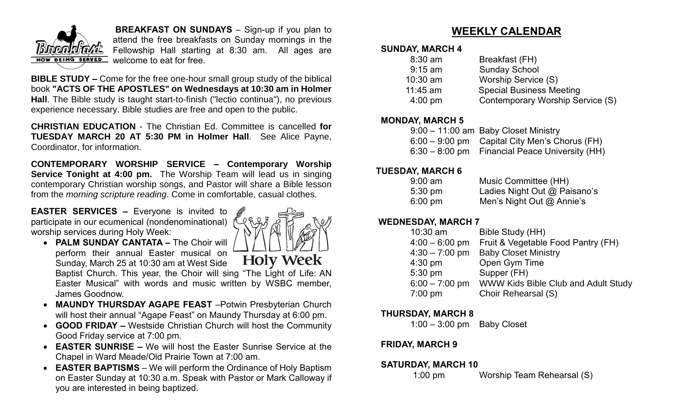

**BREAKFAST ON SUNDAYS** – Sign-up if you plan to attend the free breakfasts on Sunday mornings in the Fellowship Hall starting at 8:30 am. All ages are welcome to eat for free.

**BIBLE STUDY –** Come for the free one-hour small group study of the biblical book **"ACTS OF THE APOSTLES" on Wednesdays at 10:30 am in Holmer Hall**. The Bible study is taught start-to-finish ("lectio continua"), no previous experience necessary. Bible studies are free and open to the public.

**CHRISTIAN EDUCATION** - The Christian Ed. Committee is cancelled **for TUESDAY MARCH 20 AT 5:30 PM in Holmer Hall**. See Alice Payne, Coordinator, for information.

**CONTEMPORARY WORSHIP SERVICE – Contemporary Worship Service Tonight at 4:00 pm.** The Worship Team will lead us in singing contemporary Christian worship songs, and Pastor will share a Bible lesson from the *morning scripture reading*. Come in comfortable, casual clothes.

**EASTER SERVICES –** Everyone is invited to participate in our ecumenical (nondenominational) worship services during Holy Week:



• **PALM SUNDAY CANTATA –** The Choir will perform their annual Easter musical on **Holy Week** Sunday, March 25 at 10:30 am at West Side Baptist Church. This year, the Choir will sing "The Light of Life: AN Easter Musical" with words and music written by WSBC member, James Goodnow.

- **MAUNDY THURSDAY AGAPE FEAST** –Potwin Presbyterian Church will host their annual "Agape Feast" on Maundy Thursday at 6:00 pm.
- **GOOD FRIDAY –** Westside Christian Church will host the Community Good Friday service at 7:00 pm.
- **EASTER SUNRISE –** We will host the Easter Sunrise Service at the Chapel in Ward Meade/Old Prairie Town at 7:00 am.
- **EASTER BAPTISMS** We will perform the Ordinance of Holy Baptism on Easter Sunday at 10:30 a.m. Speak with Pastor or Mark Calloway if you are interested in being baptized.

## **WEEKLY CALENDAR**

#### **SUNDAY, MARCH 4**

| $8:30$ am         | Breakfast (FH)                   |
|-------------------|----------------------------------|
| $9:15$ am         | <b>Sunday School</b>             |
| $10:30$ am        | Worship Service (S)              |
| $11:45$ am        | <b>Special Business Meeting</b>  |
| $4:00 \text{ pm}$ | Contemporary Worship Service (S) |
|                   |                                  |

#### **MONDAY, MARCH 5**

| 9:00 - 11:00 am Baby Closet Ministry            |
|-------------------------------------------------|
| $6:00 - 9:00$ pm Capital City Men's Chorus (FH) |
| 6:30 – 8:00 pm Financial Peace University (HH)  |

#### **TUESDAY, MARCH 6**

| $9:00$ am         | Music Committee (HH)         |
|-------------------|------------------------------|
| $5:30 \text{ pm}$ | Ladies Night Out @ Paisano's |
| $6:00 \text{ pm}$ | Men's Night Out $@$ Annie's  |

#### **WEDNESDAY, MARCH 7**

| $10:30$ am       | Bible Study (HH)                    |
|------------------|-------------------------------------|
| $4:00 - 6:00$ pm | Fruit & Vegetable Food Pantry (FH)  |
| $4:30 - 7:00$ pm | <b>Baby Closet Ministry</b>         |
| $4:30$ pm        | Open Gym Time                       |
| 5:30 pm          | Supper (FH)                         |
| $6:00 - 7:00$ pm | WWW Kids Bible Club and Adult Study |
| $7:00$ pm        | Choir Rehearsal (S)                 |
|                  |                                     |

### **THURSDAY, MARCH 8**

1:00 – 3:00 pm Baby Closet

### **FRIDAY, MARCH 9**

#### **SATURDAY, MARCH 10**

1:00 pm Worship Team Rehearsal (S)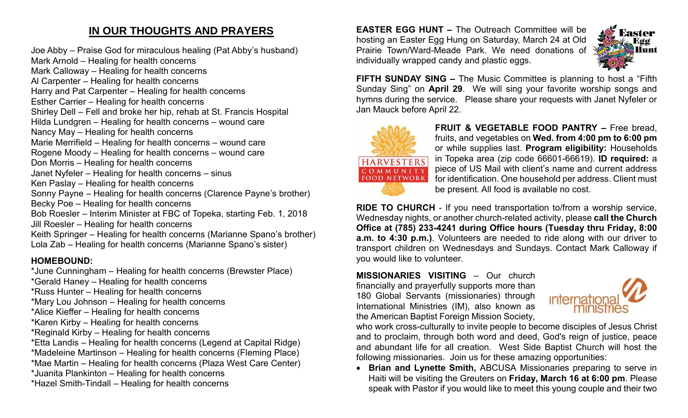## **IN OUR THOUGHTS AND PRAYERS**

Joe Abby – Praise God for miraculous healing (Pat Abby's husband) Mark Arnold – Healing for health concerns Mark Calloway – Healing for health concerns Al Carpenter – Healing for health concerns Harry and Pat Carpenter – Healing for health concerns Esther Carrier – Healing for health concerns Shirley Dell – Fell and broke her hip, rehab at St. Francis Hospital Hilda Lundgren – Healing for health concerns – wound care Nancy May – Healing for health concerns Marie Merrifield – Healing for health concerns – wound care Rogene Moody – Healing for health concerns – wound care Don Morris – Healing for health concerns Janet Nyfeler – Healing for health concerns – sinus Ken Paslay – Healing for health concerns Sonny Payne – Healing for health concerns (Clarence Payne's brother) Becky Poe – Healing for health concerns Bob Roesler – Interim Minister at FBC of Topeka, starting Feb. 1, 2018 Jill Roesler – Healing for health concerns Keith Springer – Healing for health concerns (Marianne Spano's brother) Lola Zab – Healing for health concerns (Marianne Spano's sister)

## **HOMEBOUND:**

\*June Cunningham – Healing for health concerns (Brewster Place)

- \*Gerald Haney Healing for health concerns
- \*Russ Hunter Healing for health concerns
- \*Mary Lou Johnson Healing for health concerns
- \*Alice Kieffer Healing for health concerns
- \*Karen Kirby Healing for health concerns
- \*Reginald Kirby Healing for health concerns
- \*Etta Landis Healing for health concerns (Legend at Capital Ridge)
- \*Madeleine Martinson Healing for health concerns (Fleming Place)
- \*Mae Martin Healing for health concerns (Plaza West Care Center)
- \*Juanita Plankinton Healing for health concerns
- \*Hazel Smith-Tindall Healing for health concerns

**EASTER EGG HUNT –** The Outreach Committee will be hosting an Easter Egg Hung on Saturday, March 24 at Old Prairie Town/Ward-Meade Park. We need donations of individually wrapped candy and plastic eggs.



**FIFTH SUNDAY SING –** The Music Committee is planning to host a "Fifth Sunday Sing" on **April 29**. We will sing your favorite worship songs and hymns during the service. Please share your requests with Janet Nyfeler or Jan Mauck before April 22.



**FRUIT & VEGETABLE FOOD PANTRY –** Free bread, fruits, and vegetables on **Wed. from 4:00 pm to 6:00 pm**  or while supplies last. **Program eligibility:** Households in Topeka area (zip code 66601-66619). **ID required:** a piece of US Mail with client's name and current address for identification. One household per address. Client must be present. All food is available no cost.

**RIDE TO CHURCH** - If you need transportation to/from a worship service, Wednesday nights, or another church-related activity, please **call the Church Office at (785) 233-4241 during Office hours (Tuesday thru Friday, 8:00 a.m. to 4:30 p.m.)**. Volunteers are needed to ride along with our driver to transport children on Wednesdays and Sundays. Contact Mark Calloway if you would like to volunteer.

**MISSIONARIES VISITING** – Our church financially and prayerfully supports more than 180 Global Servants (missionaries) through International Ministries (IM), also known as the American Baptist Foreign Mission Society,



who work cross-culturally to invite people to become disciples of Jesus Christ and to proclaim, through both word and deed, God's reign of justice, peace and abundant life for all creation. West Side Baptist Church will host the following missionaries. Join us for these amazing opportunities:

• **Brian and Lynette Smith,** ABCUSA Missionaries preparing to serve in Haiti will be visiting the Greuters on **Friday, March 16 at 6:00 pm**. Please speak with Pastor if you would like to meet this young couple and their two